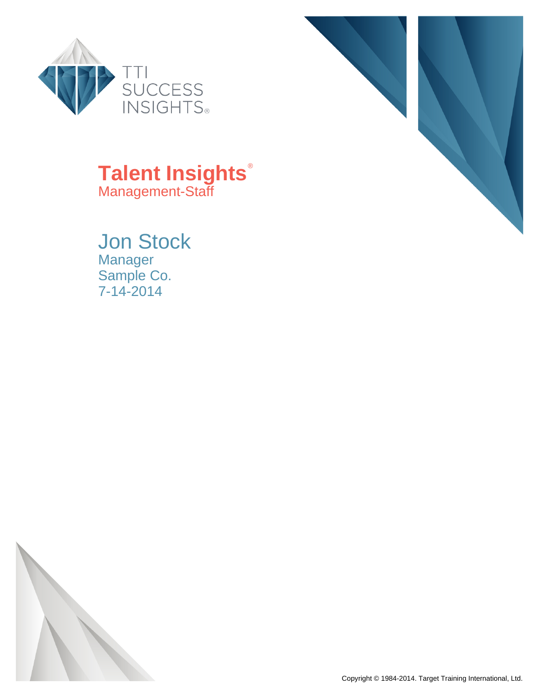



## **Talent Insights**® Management-Staff

Jon Stock Manager Sample Co. 7-14-2014



Copyright © 1984-2014. Target Training International, Ltd.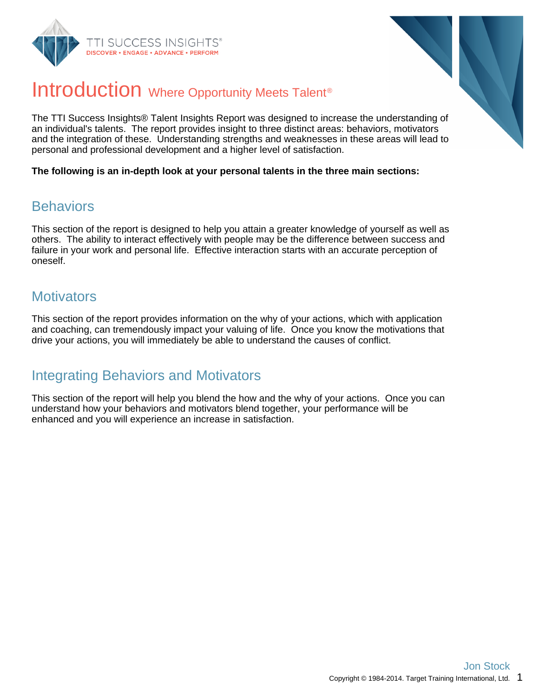



## Introduction Where Opportunity Meets Talent<sup>®</sup>

The TTI Success Insights® Talent Insights Report was designed to increase the understanding of an individual's talents. The report provides insight to three distinct areas: behaviors, motivators and the integration of these. Understanding strengths and weaknesses in these areas will lead to personal and professional development and a higher level of satisfaction.

**The following is an in-depth look at your personal talents in the three main sections:**

#### **Behaviors**

This section of the report is designed to help you attain a greater knowledge of yourself as well as others. The ability to interact effectively with people may be the difference between success and failure in your work and personal life. Effective interaction starts with an accurate perception of oneself.

#### **Motivators**

This section of the report provides information on the why of your actions, which with application and coaching, can tremendously impact your valuing of life. Once you know the motivations that drive your actions, you will immediately be able to understand the causes of conflict.

#### Integrating Behaviors and Motivators

This section of the report will help you blend the how and the why of your actions. Once you can understand how your behaviors and motivators blend together, your performance will be enhanced and you will experience an increase in satisfaction.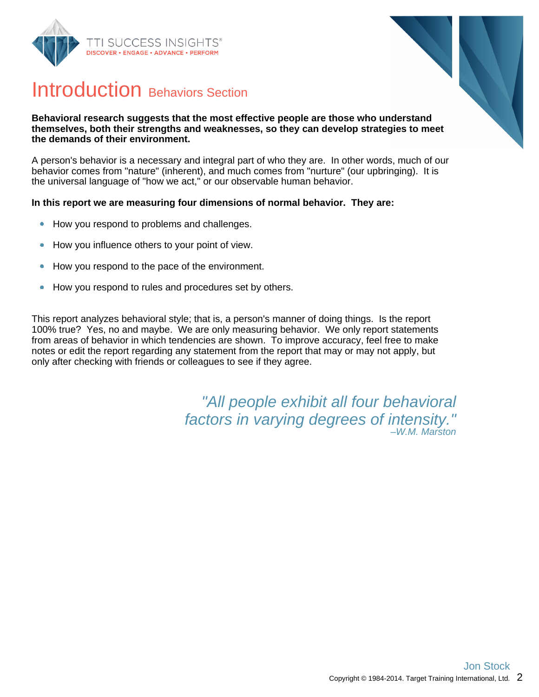



## Introduction Behaviors Section

#### **Behavioral research suggests that the most effective people are those who understand themselves, both their strengths and weaknesses, so they can develop strategies to meet the demands of their environment.**

A person's behavior is a necessary and integral part of who they are. In other words, much of our behavior comes from "nature" (inherent), and much comes from "nurture" (our upbringing). It is the universal language of "how we act," or our observable human behavior.

#### **In this report we are measuring four dimensions of normal behavior. They are:**

- How you respond to problems and challenges.  $\bullet$
- How you influence others to your point of view.  $\bullet$
- How you respond to the pace of the environment.  $\bullet$
- How you respond to rules and procedures set by others.  $\bullet$

This report analyzes behavioral style; that is, a person's manner of doing things. Is the report 100% true? Yes, no and maybe. We are only measuring behavior. We only report statements from areas of behavior in which tendencies are shown. To improve accuracy, feel free to make notes or edit the report regarding any statement from the report that may or may not apply, but only after checking with friends or colleagues to see if they agree.

> "All people exhibit all four behavioral factors in varying degrees of intensity." –W.M. Marston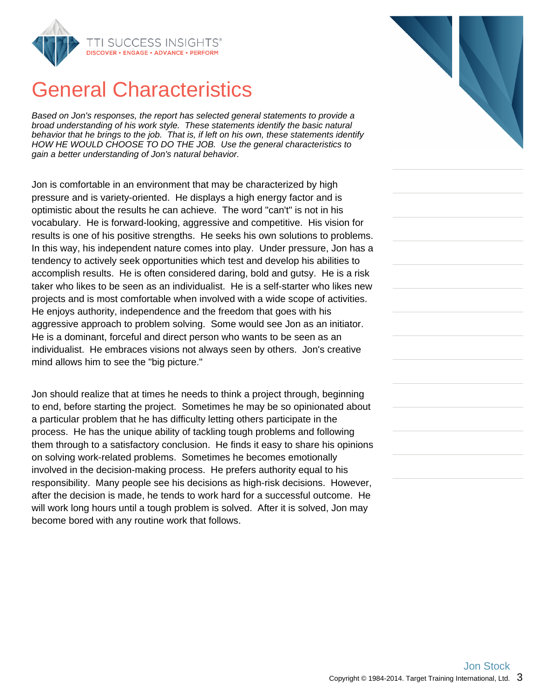

## General Characteristics

Based on Jon's responses, the report has selected general statements to provide a broad understanding of his work style. These statements identify the basic natural behavior that he brings to the job. That is, if left on his own, these statements identify HOW HE WOULD CHOOSE TO DO THE JOB. Use the general characteristics to gain a better understanding of Jon's natural behavior.

Jon is comfortable in an environment that may be characterized by high pressure and is variety-oriented. He displays a high energy factor and is optimistic about the results he can achieve. The word "can't" is not in his vocabulary. He is forward-looking, aggressive and competitive. His vision for results is one of his positive strengths. He seeks his own solutions to problems. In this way, his independent nature comes into play. Under pressure, Jon has a tendency to actively seek opportunities which test and develop his abilities to accomplish results. He is often considered daring, bold and gutsy. He is a risk taker who likes to be seen as an individualist. He is a self-starter who likes new projects and is most comfortable when involved with a wide scope of activities. He enjoys authority, independence and the freedom that goes with his aggressive approach to problem solving. Some would see Jon as an initiator. He is a dominant, forceful and direct person who wants to be seen as an individualist. He embraces visions not always seen by others. Jon's creative mind allows him to see the "big picture."

Jon should realize that at times he needs to think a project through, beginning to end, before starting the project. Sometimes he may be so opinionated about a particular problem that he has difficulty letting others participate in the process. He has the unique ability of tackling tough problems and following them through to a satisfactory conclusion. He finds it easy to share his opinions on solving work-related problems. Sometimes he becomes emotionally involved in the decision-making process. He prefers authority equal to his responsibility. Many people see his decisions as high-risk decisions. However, after the decision is made, he tends to work hard for a successful outcome. He will work long hours until a tough problem is solved. After it is solved, Jon may become bored with any routine work that follows.

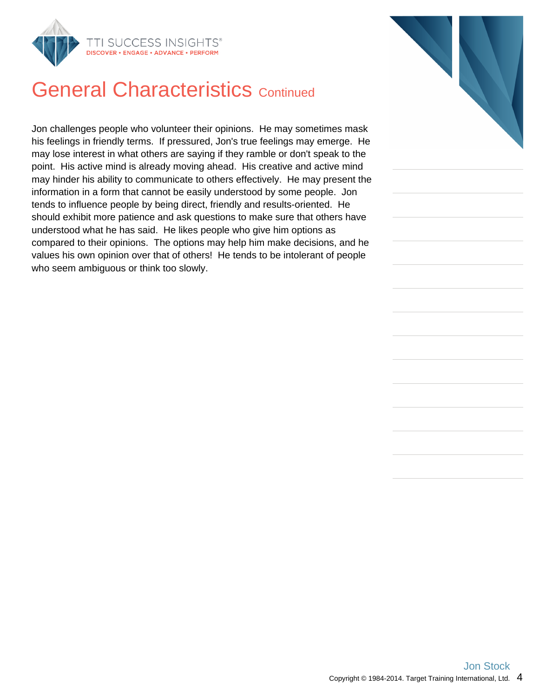

## **General Characteristics Continued**

Jon challenges people who volunteer their opinions. He may sometimes mask his feelings in friendly terms. If pressured, Jon's true feelings may emerge. He may lose interest in what others are saying if they ramble or don't speak to the point. His active mind is already moving ahead. His creative and active mind may hinder his ability to communicate to others effectively. He may present the information in a form that cannot be easily understood by some people. Jon tends to influence people by being direct, friendly and results-oriented. He should exhibit more patience and ask questions to make sure that others have understood what he has said. He likes people who give him options as compared to their opinions. The options may help him make decisions, and he values his own opinion over that of others! He tends to be intolerant of people who seem ambiguous or think too slowly.

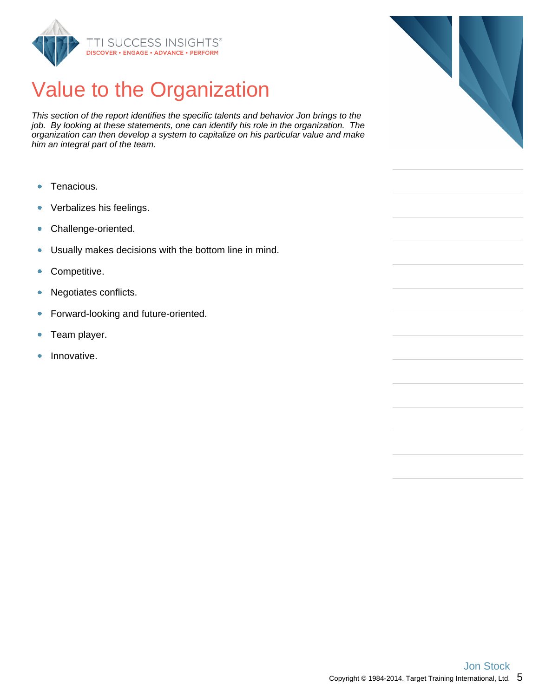

## Value to the Organization

This section of the report identifies the specific talents and behavior Jon brings to the job. By looking at these statements, one can identify his role in the organization. The organization can then develop a system to capitalize on his particular value and make him an integral part of the team.

- Tenacious.  $\bullet$
- Verbalizes his feelings.  $\bullet$
- Challenge-oriented.  $\bullet$
- Usually makes decisions with the bottom line in mind.  $\bullet$
- Competitive.  $\bullet$
- Negotiates conflicts. ۰
- $\bullet$ Forward-looking and future-oriented.
- Team player.  $\bullet$
- Innovative.  $\bullet$

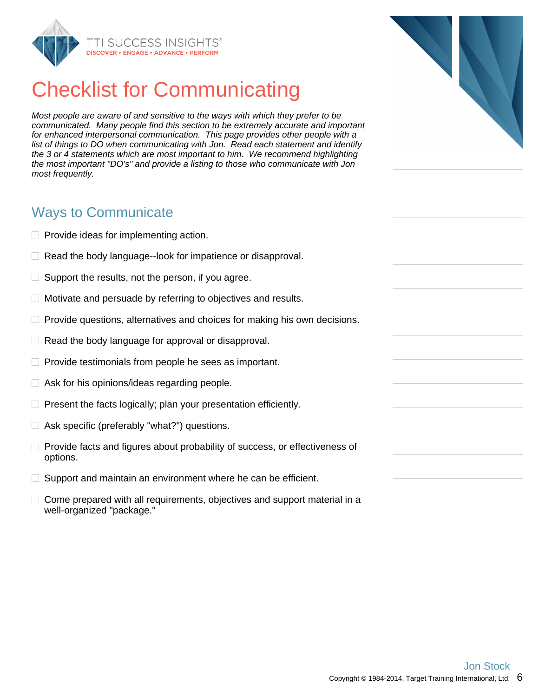

## Checklist for Communicating

Most people are aware of and sensitive to the ways with which they prefer to be communicated. Many people find this section to be extremely accurate and important for enhanced interpersonal communication. This page provides other people with a list of things to DO when communicating with Jon. Read each statement and identify the 3 or 4 statements which are most important to him. We recommend highlighting the most important "DO's" and provide a listing to those who communicate with Jon most frequently.

#### Ways to Communicate

- $\Box$  Provide ideas for implementing action.
- $\Box$  Read the body language--look for impatience or disapproval.
- $\Box$ Support the results, not the person, if you agree.
- $\Box$  Motivate and persuade by referring to objectives and results.
- $\Box$  Provide questions, alternatives and choices for making his own decisions.
- $\Box$  Read the body language for approval or disapproval.
- $\Box$  Provide testimonials from people he sees as important.
- $\Box$  Ask for his opinions/ideas regarding people.
- $\Box$  Present the facts logically; plan your presentation efficiently.
- □ Ask specific (preferably "what?") questions.
- $\Box$  Provide facts and figures about probability of success, or effectiveness of options.
- $\Box$  Support and maintain an environment where he can be efficient.
- $\Box$  Come prepared with all requirements, objectives and support material in a well-organized "package."

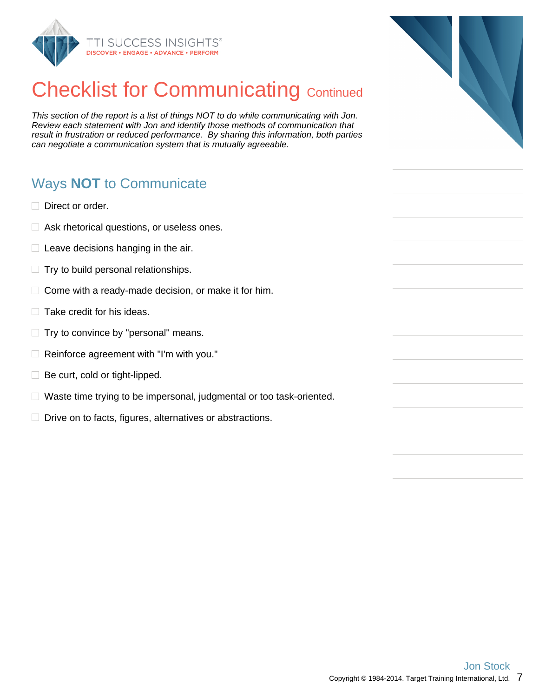

## **Checklist for Communicating Continued**

This section of the report is a list of things NOT to do while communicating with Jon. Review each statement with Jon and identify those methods of communication that result in frustration or reduced performance. By sharing this information, both parties can negotiate a communication system that is mutually agreeable.

## Ways **NOT** to Communicate

- $\Box$  Direct or order.
- □ Ask rhetorical questions, or useless ones.
- $\Box$  Leave decisions hanging in the air.
- $\Box$  Try to build personal relationships.
- $\Box$  Come with a ready-made decision, or make it for him.
- $\Box$  Take credit for his ideas.
- $\Box$  Try to convince by "personal" means.
- $\Box$  Reinforce agreement with "I'm with you."
- $\Box$  Be curt, cold or tight-lipped.
- $\Box$  Waste time trying to be impersonal, judgmental or too task-oriented.
- $\Box$  Drive on to facts, figures, alternatives or abstractions.

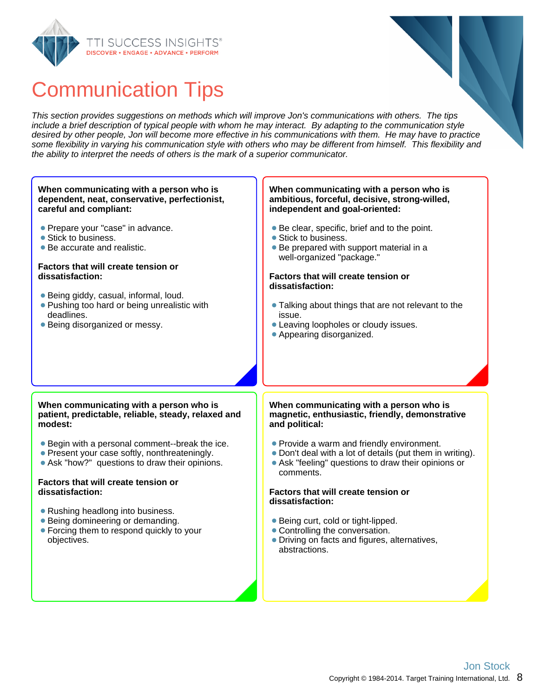

## Communication Tips

This section provides suggestions on methods which will improve Jon's communications with others. The tips include a brief description of typical people with whom he may interact. By adapting to the communication style desired by other people, Jon will become more effective in his communications with them. He may have to practice some flexibility in varying his communication style with others who may be different from himself. This flexibility and the ability to interpret the needs of others is the mark of a superior communicator.

#### • Stick to business. **dissatisfaction: When communicating with a person who is dependent, neat, conservative, perfectionist, careful and compliant: Prepare your "case" in advance.** • Stick to business. Be accurate and realistic. **Factors that will create tension or dissatisfaction:** Being giddy, casual, informal, loud. **• Pushing too hard or being unrealistic with**

deadlines. • Being disorganized or messy.

#### **When communicating with a person who is ambitious, forceful, decisive, strong-willed, independent and goal-oriented:**

- Be clear, specific, brief and to the point.
- Be prepared with support material in a well-organized "package."

## **Factors that will create tension or**

- Talking about things that are not relevant to the issue.
- Leaving loopholes or cloudy issues.
- Appearing disorganized.

#### **When communicating with a person who is patient, predictable, reliable, steady, relaxed and modest:**

- Begin with a personal comment--break the ice.
- Present your case softly, nonthreateningly.
- Ask "how?" questions to draw their opinions.

#### **Factors that will create tension or dissatisfaction:**

- Rushing headlong into business.
- Being domineering or demanding.
- Forcing them to respond quickly to your objectives.

#### **When communicating with a person who is magnetic, enthusiastic, friendly, demonstrative and political:**

- Provide a warm and friendly environment.
- Don't deal with a lot of details (put them in writing).
- Ask "feeling" questions to draw their opinions or comments.

#### **Factors that will create tension or dissatisfaction:**

- Being curt, cold or tight-lipped.
- Controlling the conversation.
- Driving on facts and figures, alternatives, abstractions.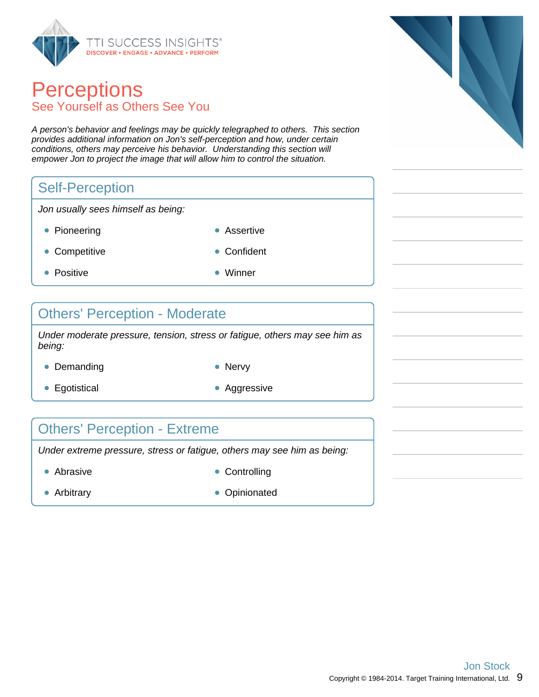

#### **Perceptions** See Yourself as Others See You

A person's behavior and feelings may be quickly telegraphed to others. This section provides additional information on Jon's self-perception and how, under certain conditions, others may perceive his behavior. Understanding this section will empower Jon to project the image that will allow him to control the situation.

#### Self-Perception

Jon usually sees himself as being:

- Pioneering **Assertive Assertive**
- Competitive **Confident**
- Positive **Winner**
- 

#### Others' Perception - Moderate

Under moderate pressure, tension, stress or fatigue, others may see him as being:

- Demanding Nervy
	-
- Egotistical **Aggressive** Aggressive
- 

#### Others' Perception - Extreme

Under extreme pressure, stress or fatigue, others may see him as being:

- Abrasive **Controlling** 
	-
- 
- Arbitrary **Canadian Community** Opinionated

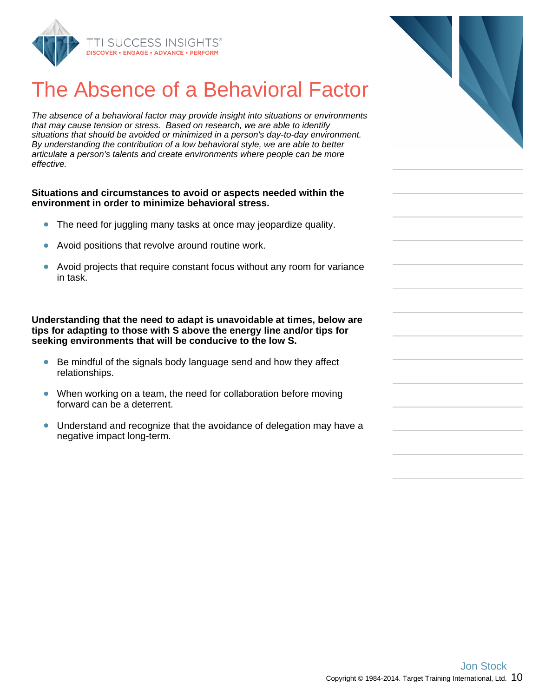

## The Absence of a Behavioral Factor

The absence of a behavioral factor may provide insight into situations or envirc that may cause tension or stress. Based on research, we are able to identify situations that should be avoided or minimized in a person's day-to-day enviror By understanding the contribution of a low behavioral style, we are able to bett articulate a person's talents and create environments where people can be mo effective.

#### **Situations and circumstances to avoid or aspects needed within theath environment in order to minimize behavioral stress.**

- $\bullet$ The need for juggling many tasks at once may jeopardize quality.
- Avoid positions that revolve around routine work.
- Avoid projects that require constant focus without any room for variance in task.

Understanding that the need to adapt is unavoidable at times, belo **tips for adapting to those with S above the energy line and/or tips for seeking environments that will be conducive to the low S.**

- Be mindful of the signals body language send and how they affect relationships.
- When working on a team, the need for collaboration before moving forward can be a deterrent.
- Understand and recognize that the avoidance of delegation may have a negative impact long-term.

| ctor                |  |
|---------------------|--|
| <b>onments</b>      |  |
| nment.<br>ter<br>re |  |
| ١e                  |  |
| ariance             |  |
| w are<br>for        |  |
| t                   |  |
| ıg                  |  |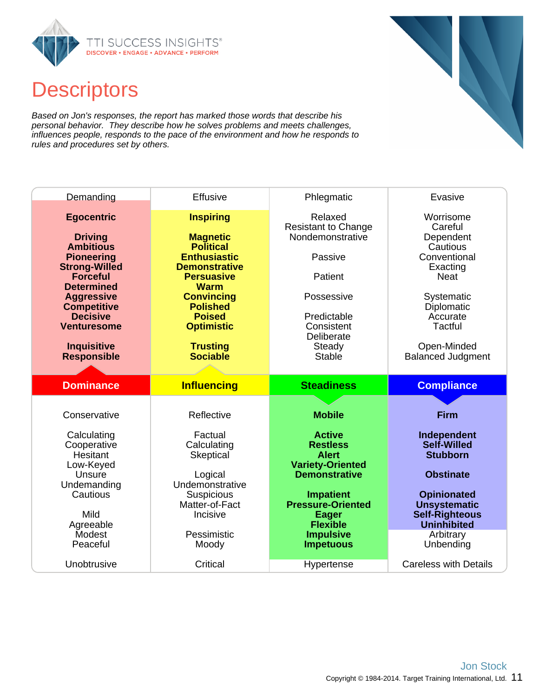

## **Descriptors**

Based on Jon's responses, the report has marked those words that describe his personal behavior. They describe how he solves problems and meets challenges, influences people, responds to the pace of the environment and how he responds to rules and procedures set by others.

| Demanding                                                                                                                                                                                                                                                                    | <b>Effusive</b>                                                                                                                                                                                                                                                | Phlegmatic                                                                                                                                                                                                                                      | Evasive                                                                                                                                                                                                       |
|------------------------------------------------------------------------------------------------------------------------------------------------------------------------------------------------------------------------------------------------------------------------------|----------------------------------------------------------------------------------------------------------------------------------------------------------------------------------------------------------------------------------------------------------------|-------------------------------------------------------------------------------------------------------------------------------------------------------------------------------------------------------------------------------------------------|---------------------------------------------------------------------------------------------------------------------------------------------------------------------------------------------------------------|
| <b>Egocentric</b><br><b>Driving</b><br><b>Ambitious</b><br><b>Pioneering</b><br><b>Strong-Willed</b><br><b>Forceful</b><br><b>Determined</b><br><b>Aggressive</b><br><b>Competitive</b><br><b>Decisive</b><br><b>Venturesome</b><br><b>Inquisitive</b><br><b>Responsible</b> | <b>Inspiring</b><br><b>Magnetic</b><br><b>Political</b><br><b>Enthusiastic</b><br><b>Demonstrative</b><br><b>Persuasive</b><br><b>Warm</b><br><b>Convincing</b><br><b>Polished</b><br><b>Poised</b><br><b>Optimistic</b><br><b>Trusting</b><br><b>Sociable</b> | Relaxed<br><b>Resistant to Change</b><br>Nondemonstrative<br>Passive<br>Patient<br>Possessive<br>Predictable<br>Consistent<br>Deliberate<br>Steady<br>Stable                                                                                    | Worrisome<br>Careful<br>Dependent<br>Cautious<br>Conventional<br>Exacting<br><b>Neat</b><br>Systematic<br>Diplomatic<br>Accurate<br>Tactful<br>Open-Minded<br><b>Balanced Judgment</b>                        |
|                                                                                                                                                                                                                                                                              |                                                                                                                                                                                                                                                                |                                                                                                                                                                                                                                                 |                                                                                                                                                                                                               |
| <b>Dominance</b>                                                                                                                                                                                                                                                             |                                                                                                                                                                                                                                                                | <b>Steadiness</b>                                                                                                                                                                                                                               |                                                                                                                                                                                                               |
|                                                                                                                                                                                                                                                                              | <b>Influencing</b>                                                                                                                                                                                                                                             |                                                                                                                                                                                                                                                 | <b>Compliance</b>                                                                                                                                                                                             |
| Conservative<br>Calculating<br>Cooperative<br><b>Hesitant</b><br>Low-Keyed<br>Unsure<br>Undemanding<br>Cautious<br>Mild<br>Agreeable<br>Modest<br>Peaceful                                                                                                                   | Reflective<br>Factual<br>Calculating<br>Skeptical<br>Logical<br>Undemonstrative<br>Suspicious<br>Matter-of-Fact<br>Incisive<br>Pessimistic<br>Moody                                                                                                            | <b>Mobile</b><br><b>Active</b><br><b>Restless</b><br><b>Alert</b><br><b>Variety-Oriented</b><br><b>Demonstrative</b><br><b>Impatient</b><br><b>Pressure-Oriented</b><br><b>Eager</b><br><b>Flexible</b><br><b>Impulsive</b><br><b>Impetuous</b> | <b>Firm</b><br>Independent<br><b>Self-Willed</b><br><b>Stubborn</b><br><b>Obstinate</b><br><b>Opinionated</b><br><b>Unsystematic</b><br><b>Self-Righteous</b><br><b>Uninhibited</b><br>Arbitrary<br>Unbending |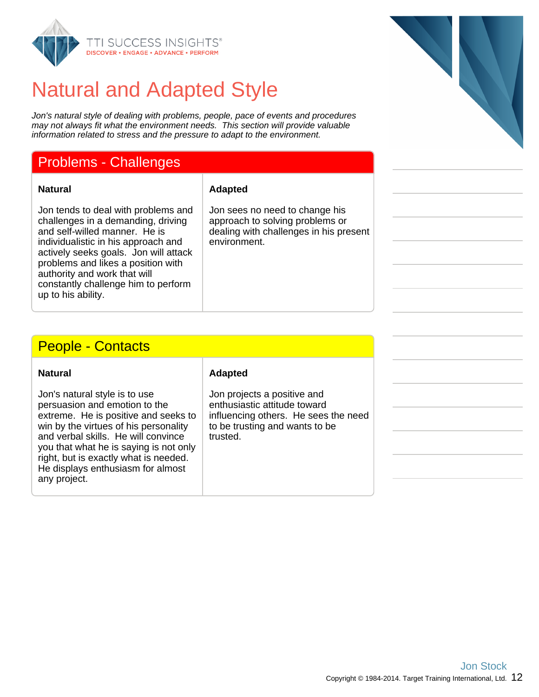

## Natural and Adapted Style

Jon's natural style of dealing with problems, people, pace of events and procedures may not always fit what the environment needs. This section will provide valuable information related to stress and the pressure to adapt to the environment.

#### Problems - Challenges

**Natural Adapted**

Jon tends to deal with problems and challenges in a demanding, driving and self-willed manner. He is individualistic in his approach and actively seeks goals. Jon will attack problems and likes a position with authority and work that will constantly challenge him to perform up to his ability.

Jon sees no need to change his approach to solving problems or dealing with challenges in his present environment.

#### People - Contacts

| Natural                                                                                                                                                                                                                                                                                                                        |  |
|--------------------------------------------------------------------------------------------------------------------------------------------------------------------------------------------------------------------------------------------------------------------------------------------------------------------------------|--|
| Jon's natural style is to use<br>persuasion and emotion to the<br>extreme. He is positive and seeks to<br>win by the virtues of his personality<br>and verbal skills. He will convince<br>you that what he is saying is not only<br>right, but is exactly what is needed.<br>He displays enthusiasm for almost<br>any project. |  |

#### **Adapted**

Jon projects a positive and enthusiastic attitude toward influencing others. He sees the need to be trusting and wants to be trusted.

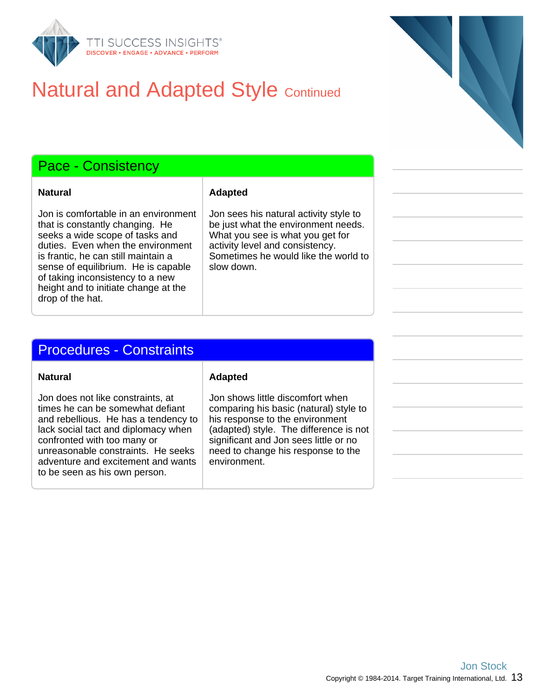

## **Natural and Adapted Style Continued**

#### Pace - Consistency

**Natural Adapted** 

Jon is comfortable in an environment that is constantly changing. He seeks a wide scope of tasks and duties. Even when the environment is frantic, he can still maintain a sense of equilibrium. He is capable of taking inconsistency to a new height and to initiate change at the drop of the hat.

#### Jon sees his natural activity style to be just what the environment needs. What you see is what you get for activity level and consistency. Sometimes he would like the world to slow down.

#### Procedures - Constraints

**Natural Adapted** 

Jon does not like constraints, at times he can be somewhat defiant and rebellious. He has a tendency to lack social tact and diplomacy when confronted with too many or unreasonable constraints. He seeks adventure and excitement and wants to be seen as his own person.

Jon shows little discomfort when comparing his basic (natural) style to his response to the environment (adapted) style. The difference is not significant and Jon sees little or no need to change his response to the environment.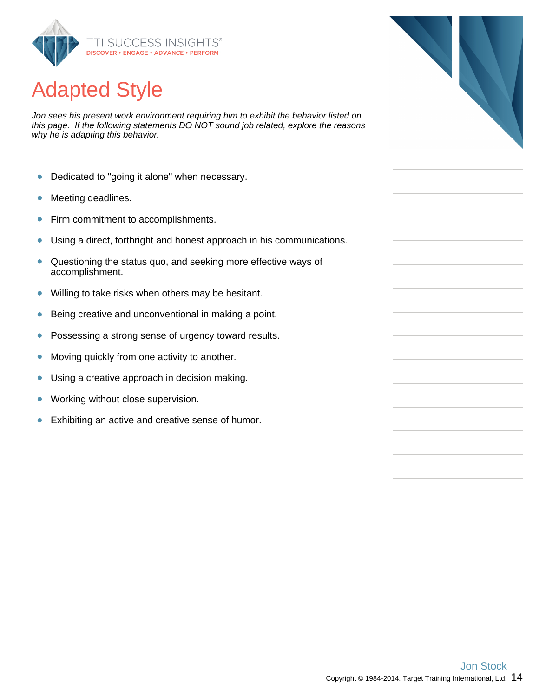

## Adapted Style

Jon sees his present work environment requiring him to exhibit the behavior listed on this page. If the following statements DO NOT sound job related, explore the reasons why he is adapting this behavior.

- Dedicated to "going it alone" when necessary.  $\bullet$
- Meeting deadlines.  $\bullet$
- Firm commitment to accomplishments.  $\bullet$
- Using a direct, forthright and honest approach in his communications.  $\bullet$
- Questioning the status quo, and seeking more effective ways of  $\bullet$ accomplishment.
- Willing to take risks when others may be hesitant.  $\bullet$
- Being creative and unconventional in making a point.  $\bullet$
- Possessing a strong sense of urgency toward results.  $\bullet$
- Moving quickly from one activity to another.  $\bullet$
- $\bullet$ Using a creative approach in decision making.
- $\bullet$ Working without close supervision.
- Exhibiting an active and creative sense of humor.  $\bullet$



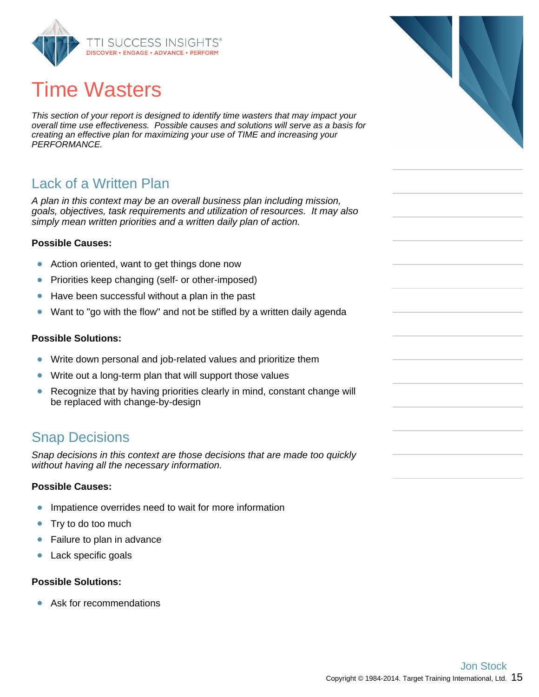

## Time Wasters

This section of your report is designed to identify time wasters that may impact your overall time use effectiveness. Possible causes and solutions will serve as a basis for creating an effective plan for maximizing your use of TIME and increasing your PERFORMANCE.

#### Lack of a Written Plan

A plan in this context may be an overall business plan including mission, goals, objectives, task requirements and utilization of resources. It may also simply mean written priorities and a written daily plan of action.

#### **Possible Causes:**

- Action oriented, want to get things done now  $\bullet$
- Priorities keep changing (self- or other-imposed)  $\bullet$
- Have been successful without a plan in the past  $\bullet$
- $\bullet$ Want to "go with the flow" and not be stifled by a written daily agenda

#### **Possible Solutions:**

- $\bullet$ Write down personal and job-related values and prioritize them
- Write out a long-term plan that will support those values  $\bullet$
- Recognize that by having priorities clearly in mind, constant change will  $\bullet$ be replaced with change-by-design

#### Snap Decisions

Snap decisions in this context are those decisions that are made too quickly without having all the necessary information.

#### **Possible Causes:**

- Impatience overrides need to wait for more information  $\bullet$
- $\bullet$ Try to do too much
- $\bullet$ Failure to plan in advance
- $\bullet$ Lack specific goals

#### **Possible Solutions:**

Ask for recommendations  $\bullet$ 

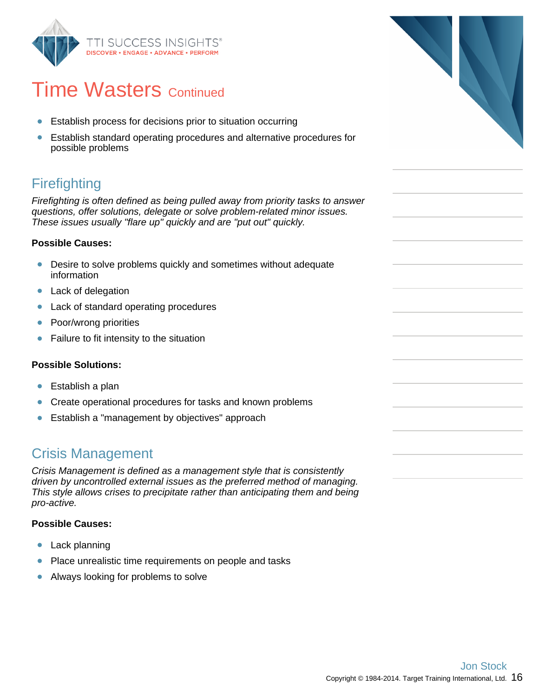

## **Time Wasters Continued**

- Establish process for decisions prior to situation occurring  $\bullet$
- Establish standard operating procedures and alternative procedures for possible problems

## Firefighting

Firefighting is often defined as being pulled away from priority tasks to answer questions, offer solutions, delegate or solve problem-related minor issues. These issues usually "flare up" quickly and are "put out" quickly.

#### **Possible Causes:**

- Desire to solve problems quickly and sometimes without adequate information
- Lack of delegation  $\bullet$
- $\bullet$ Lack of standard operating procedures
- Poor/wrong priorities  $\bullet$
- $\bullet$ Failure to fit intensity to the situation

#### **Possible Solutions:**

- $\bullet$ Establish a plan
- Create operational procedures for tasks and known problems  $\bullet$
- Establish a "management by objectives" approach  $\bullet$

#### Crisis Management

Crisis Management is defined as a management style that is consistently driven by uncontrolled external issues as the preferred method of managing. This style allows crises to precipitate rather than anticipating them and being pro-active.

#### **Possible Causes:**

- $\bullet$ Lack planning
- $\bullet$ Place unrealistic time requirements on people and tasks
- Always looking for problems to solve  $\bullet$

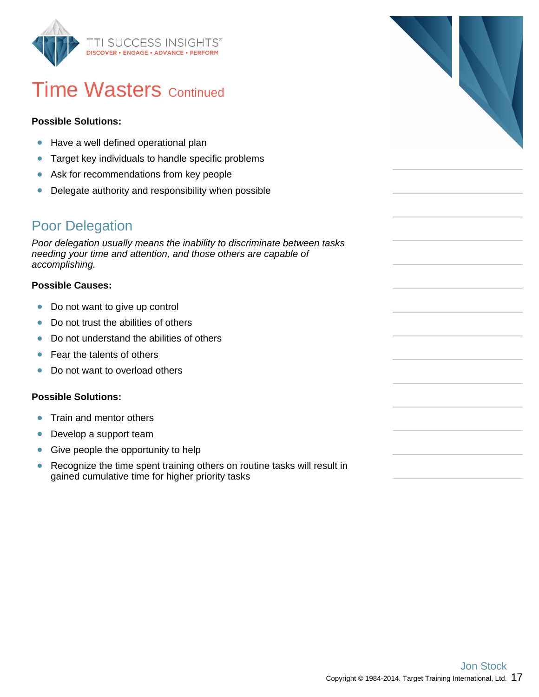

## **Time Wasters Continued**

#### **Possible Solutions:**

- Have a well defined operational plan
- $\bullet$ Target key individuals to handle specific problems
- Ask for recommendations from key people  $\bullet$
- Delegate authority and responsibility when possible  $\bullet$

#### Poor Delegation

Poor delegation usually means the inability to discriminate between tasks needing your time and attention, and those others are capable of accomplishing.

#### **Possible Causes:**

- $\bullet$ Do not want to give up control
- Do not trust the abilities of others  $\bullet$
- Do not understand the abilities of others  $\bullet$
- Fear the talents of others  $\bullet$
- Do not want to overload others  $\bullet$

#### **Possible Solutions:**

- Train and mentor others  $\bullet$
- $\bullet$ Develop a support team
- Give people the opportunity to help  $\bullet$
- $\bullet$ Recognize the time spent training others on routine tasks will result in gained cumulative time for higher priority tasks

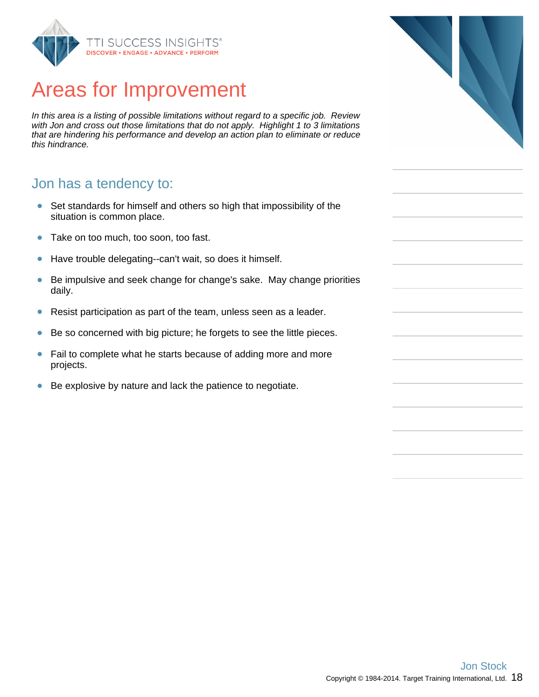

## Areas for Improvement

In this area is a listing of possible limitations without regard to a specific job. Review with Jon and cross out those limitations that do not apply. Highlight 1 to 3 limitations that are hindering his performance and develop an action plan to eliminate or reduce this hindrance.

#### Jon has a tendency to:

- Set standards for himself and others so high that impossibility of the  $\bullet$ situation is common place.
- Take on too much, too soon, too fast.  $\bullet$
- Have trouble delegating--can't wait, so does it himself.  $\bullet$
- Be impulsive and seek change for change's sake. May change priorities  $\bullet$ daily.
- $\bullet$ Resist participation as part of the team, unless seen as a leader.
- Be so concerned with big picture; he forgets to see the little pieces.  $\bullet$
- $\bullet$ Fail to complete what he starts because of adding more and more projects.
- $\bullet$ Be explosive by nature and lack the patience to negotiate.

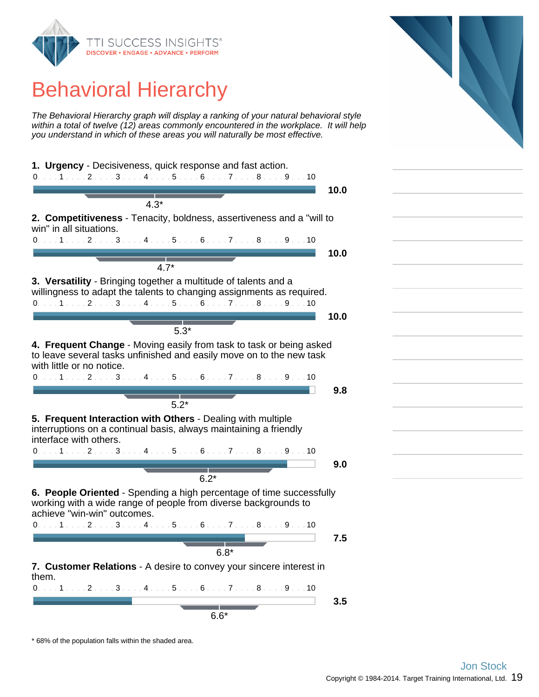

## Behavioral Hierarchy

The Behavioral Hierarchy graph will display a ranking of your natural behavioral style within a total of twelve (12) areas commonly encountered in the workplace. It will help you understand in which of these areas you will naturally be most effective.



\* 68% of the population falls within the shaded area.

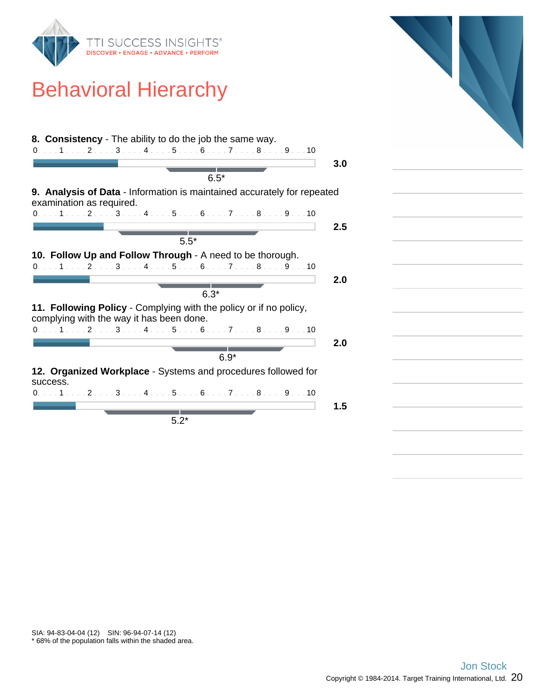

## Behavioral Hierarchy

| 8. Consistency - The ability to do the job the same way.                                                      |         |
|---------------------------------------------------------------------------------------------------------------|---------|
| 0. 1 2 3 4 5 6 7 8 9 10                                                                                       |         |
|                                                                                                               | 3.0     |
| $6.5*$                                                                                                        |         |
| <b>9. Analysis of Data</b> - Information is maintained accurately for repeated<br>examination as required.    |         |
| $0. \ldots 1 \ldots 2 \ldots 3 \ldots 4 \ldots 5 \ldots 6 \ldots 7 \ldots 8 \ldots 9 \ldots 10$               |         |
|                                                                                                               | $2.5\,$ |
| $5.5*$                                                                                                        |         |
| 10. Follow Up and Follow Through - A need to be thorough.                                                     |         |
| 0. 1 2 3 4 5 6 7 8 9 10                                                                                       |         |
|                                                                                                               | 2.0     |
| $6.3*$                                                                                                        |         |
| 11. Following Policy - Complying with the policy or if no policy,<br>complying with the way it has been done. |         |
| 0. 1 2 3 4 5 6 7 8 9 10                                                                                       |         |
|                                                                                                               | 2.0     |
| $6.9*$                                                                                                        |         |
|                                                                                                               |         |
| 12. Organized Workplace - Systems and procedures followed for<br>success.                                     |         |
| $0. \ldots 1 \ldots 2 \ldots 3 \ldots 4 \ldots 5 \ldots 6 \ldots 7 \ldots 8 \ldots 9 \ldots 10$               |         |
|                                                                                                               | 1.5     |
| $5.2*$                                                                                                        |         |



\* 68% of the population falls within the shaded area. SIA: 94-83-04-04 (12) SIN: 96-94-07-14 (12)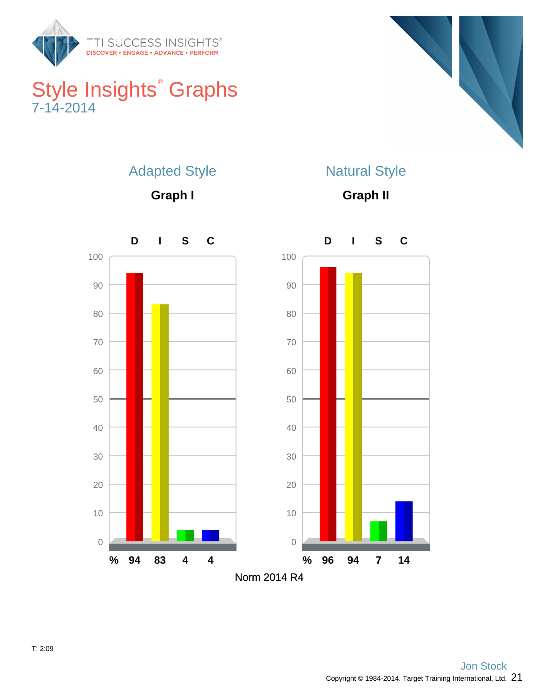

## Style Insights<sup>®</sup> Graphs 7-14-2014



## Adapted Style

**Graph I**

## Natural Style

**Graph II**

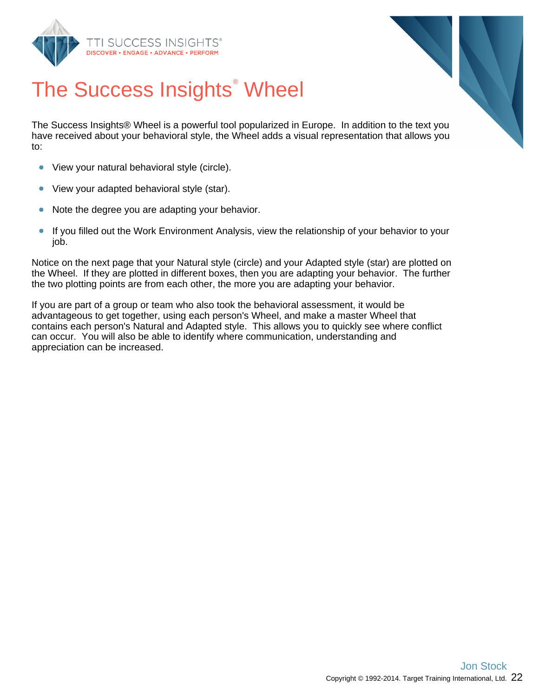



# The Success Insights<sup>®</sup> Wheel

The Success Insights® Wheel is a powerful tool popularized in Europe. In addition to the text you have received about your behavioral style, the Wheel adds a visual representation that allows you to:

- View your natural behavioral style (circle).  $\bullet$
- $\bullet$ View your adapted behavioral style (star).
- $\bullet$ Note the degree you are adapting your behavior.
- $\bullet$ If you filled out the Work Environment Analysis, view the relationship of your behavior to your job.

Notice on the next page that your Natural style (circle) and your Adapted style (star) are plotted on the Wheel. If they are plotted in different boxes, then you are adapting your behavior. The further the two plotting points are from each other, the more you are adapting your behavior.

If you are part of a group or team who also took the behavioral assessment, it would be advantageous to get together, using each person's Wheel, and make a master Wheel that contains each person's Natural and Adapted style. This allows you to quickly see where conflict can occur. You will also be able to identify where communication, understanding and appreciation can be increased.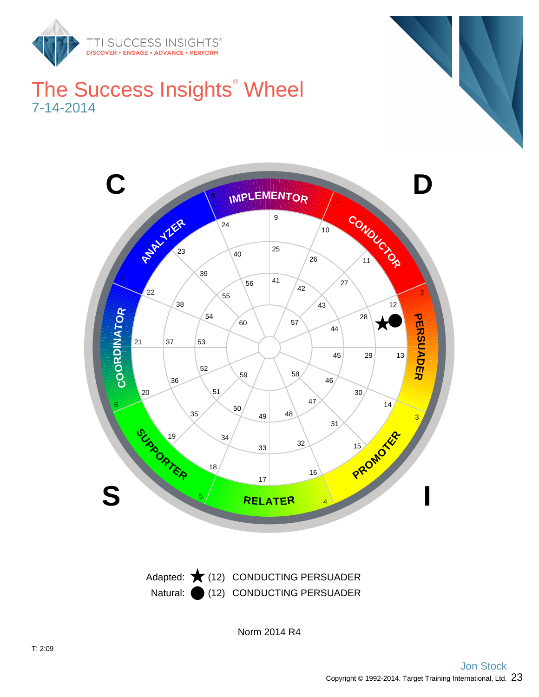

## The Success Insights<sup>®</sup> Wheel 7-14-2014



Natural: (12) CONDUCTING PERSUADER

Norm 2014 R4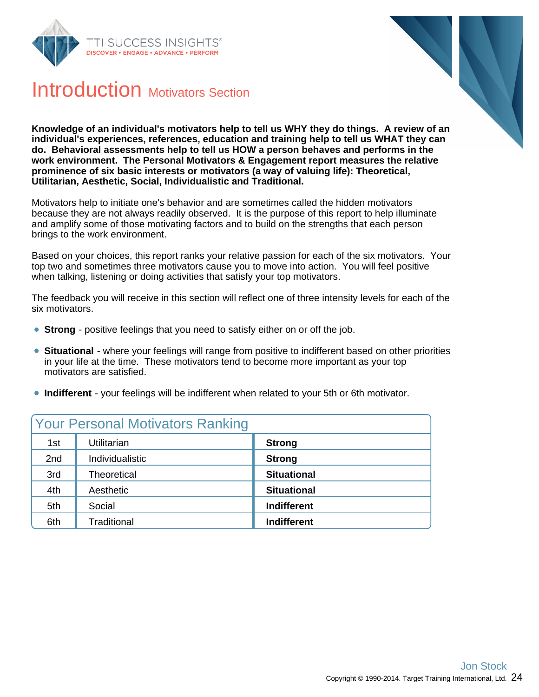



## Introduction Motivators Section

**Knowledge of an individual's motivators help to tell us WHY they do things. A review of an individual's experiences, references, education and training help to tell us WHAT they can do. Behavioral assessments help to tell us HOW a person behaves and performs in the work environment. The Personal Motivators & Engagement report measures the relative prominence of six basic interests or motivators (a way of valuing life): Theoretical, Utilitarian, Aesthetic, Social, Individualistic and Traditional.**

Motivators help to initiate one's behavior and are sometimes called the hidden motivators because they are not always readily observed. It is the purpose of this report to help illuminate and amplify some of those motivating factors and to build on the strengths that each person brings to the work environment.

Based on your choices, this report ranks your relative passion for each of the six motivators. Your top two and sometimes three motivators cause you to move into action. You will feel positive when talking, listening or doing activities that satisfy your top motivators.

The feedback you will receive in this section will reflect one of three intensity levels for each of the six motivators.

- **Strong** positive feelings that you need to satisfy either on or off the job.
- **Situational** where your feelings will range from positive to indifferent based on other priorities in your life at the time. These motivators tend to become more important as your top motivators are satisfied.
- **Indifferent** your feelings will be indifferent when related to your 5th or 6th motivator.

|     | <b>Your Personal Motivators Ranking</b> |                    |
|-----|-----------------------------------------|--------------------|
| 1st | Utilitarian                             | <b>Strong</b>      |
| 2nd | Individualistic                         | <b>Strong</b>      |
| 3rd | <b>Theoretical</b>                      | <b>Situational</b> |
| 4th | Aesthetic                               | <b>Situational</b> |
| 5th | Social                                  | <b>Indifferent</b> |
| 6th | Traditional                             | <b>Indifferent</b> |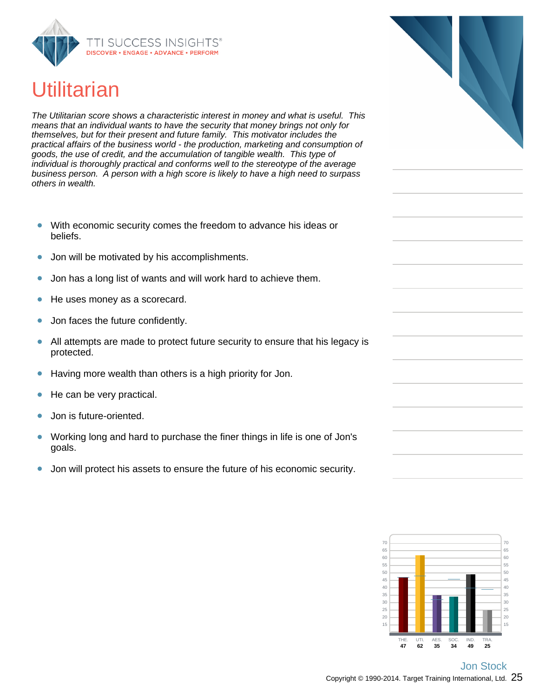

## **Utilitarian**

The Utilitarian score shows a characteristic interest in money and what is useful. This means that an individual wants to have the security that money brings not only for themselves, but for their present and future family. This motivator includes the practical affairs of the business world - the production, marketing and consumption of goods, the use of credit, and the accumulation of tangible wealth. This type of individual is thoroughly practical and conforms well to the stereotype of the average business person. A person with a high score is likely to have a high need to surpass others in wealth.

- With economic security comes the freedom to advance his ideas or  $\bullet$ beliefs.
- Jon will be motivated by his accomplishments.  $\bullet$
- Jon has a long list of wants and will work hard to achieve them.
- He uses money as a scorecard.  $\bullet$
- Jon faces the future confidently.
- $\bullet$ All attempts are made to protect future security to ensure that his legacy is protected.
- Having more wealth than others is a high priority for Jon.  $\bullet$
- He can be very practical.  $\bullet$
- Jon is future-oriented.
- Working long and hard to purchase the finer things in life is one of Jon's goals.
- $\bullet$ Jon will protect his assets to ensure the future of his economic security.

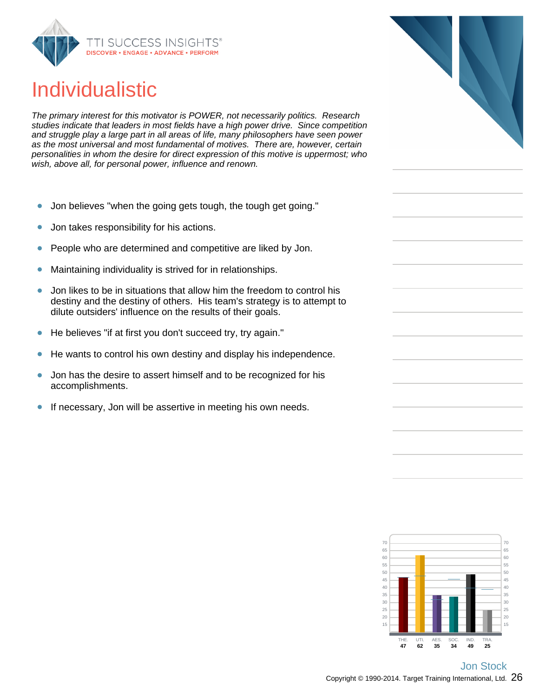

## Individualistic

The primary interest for this motivator is POWER, not necessarily politics. Research studies indicate that leaders in most fields have a high power drive. Since competition and struggle play a large part in all areas of life, many philosophers have seen power as the most universal and most fundamental of motives. There are, however, certain personalities in whom the desire for direct expression of this motive is uppermost; who wish, above all, for personal power, influence and renown.

- Jon believes "when the going gets tough, the tough get going."  $\bullet$
- Jon takes responsibility for his actions.  $\bullet$
- People who are determined and competitive are liked by Jon.  $\bullet$
- $\bullet$ Maintaining individuality is strived for in relationships.
- Jon likes to be in situations that allow him the freedom to control his  $\bullet$ destiny and the destiny of others. His team's strategy is to attempt to dilute outsiders' influence on the results of their goals.
- He believes "if at first you don't succeed try, try again."  $\bullet$
- He wants to control his own destiny and display his independence.  $\bullet$
- Jon has the desire to assert himself and to be recognized for his  $\bullet$ accomplishments.
- If necessary, Jon will be assertive in meeting his own needs.  $\bullet$



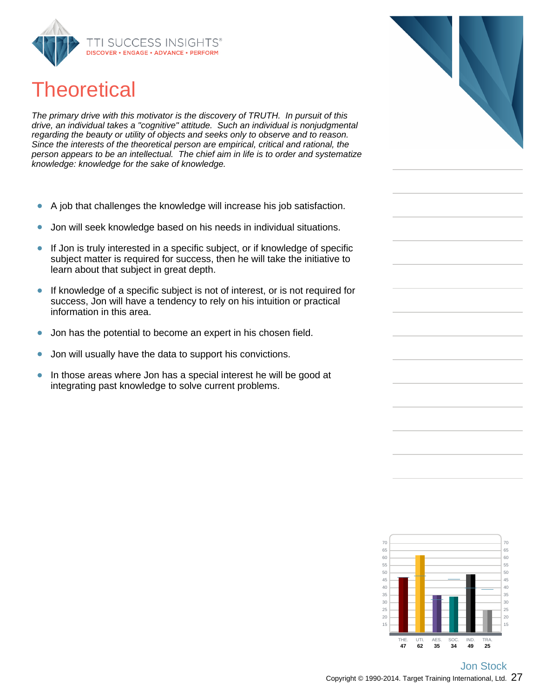

## **Theoretical**

The primary drive with this motivator is the discovery of TRUTH. In pursuit of this drive, an individual takes a "cognitive" attitude. Such an individual is nonjudgmental regarding the beauty or utility of objects and seeks only to observe and to reason. Since the interests of the theoretical person are empirical, critical and rational, the person appears to be an intellectual. The chief aim in life is to order and systematize knowledge: knowledge for the sake of knowledge.

- A job that challenges the knowledge will increase his job satisfaction.  $\bullet$
- Jon will seek knowledge based on his needs in individual situations.  $\bullet$
- If Jon is truly interested in a specific subject, or if knowledge of specific  $\bullet$ subject matter is required for success, then he will take the initiative to learn about that subject in great depth.
- If knowledge of a specific subject is not of interest, or is not required for  $\bullet$ success, Jon will have a tendency to rely on his intuition or practical information in this area.
- Jon has the potential to become an expert in his chosen field.  $\bullet$
- Jon will usually have the data to support his convictions.  $\bullet$
- In those areas where Jon has a special interest he will be good at  $\bullet$ integrating past knowledge to solve current problems.



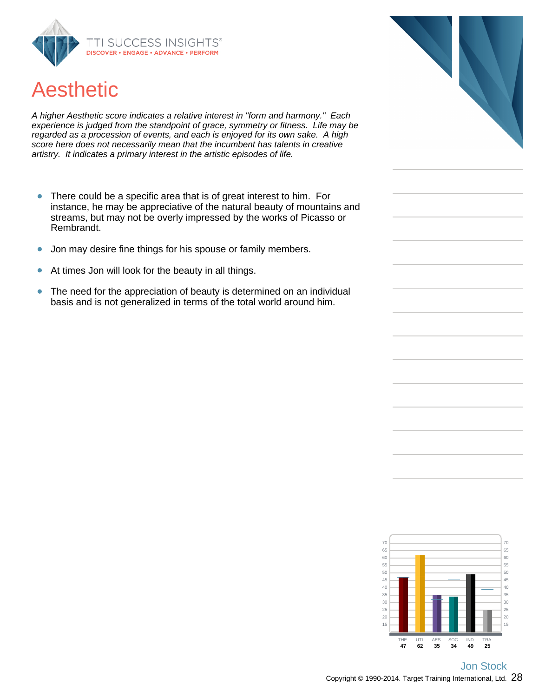

## Aesthetic

A higher Aesthetic score indicates a relative interest in "form and harmony." Each experience is judged from the standpoint of grace, symmetry or fitness. Life may be regarded as a procession of events, and each is enjoyed for its own sake. A high score here does not necessarily mean that the incumbent has talents in creative artistry. It indicates a primary interest in the artistic episodes of life.

- There could be a specific area that is of great interest to him. For  $\bullet$ instance, he may be appreciative of the natural beauty of mountains and streams, but may not be overly impressed by the works of Picasso or Rembrandt.
- Jon may desire fine things for his spouse or family members.  $\bullet$
- At times Jon will look for the beauty in all things.  $\bullet$
- The need for the appreciation of beauty is determined on an individual  $\bullet$ basis and is not generalized in terms of the total world around him.



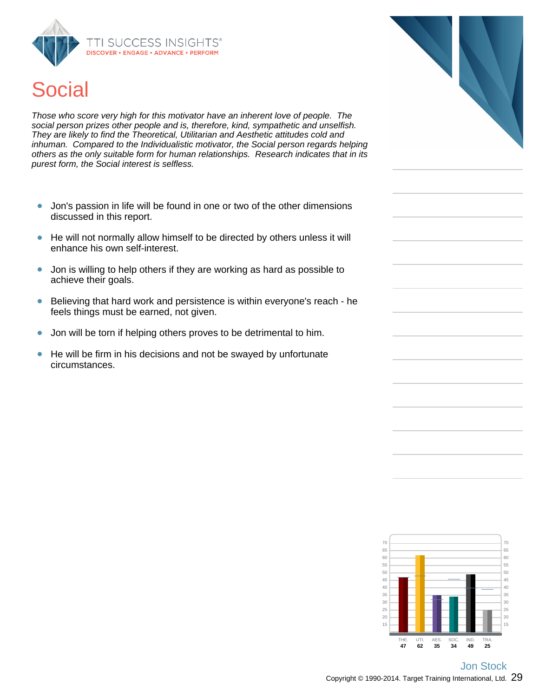



Those who score very high for this motivator have an inherent love of people. The social person prizes other people and is, therefore, kind, sympathetic and unselfish. They are likely to find the Theoretical, Utilitarian and Aesthetic attitudes cold and inhuman. Compared to the Individualistic motivator, the Social person regards helping others as the only suitable form for human relationships. Research indicates that in its purest form, the Social interest is selfless.

- Jon's passion in life will be found in one or two of the other dimensions  $\bullet$ discussed in this report.
- He will not normally allow himself to be directed by others unless it will enhance his own self-interest.
- $\bullet$ Jon is willing to help others if they are working as hard as possible to achieve their goals.
- Believing that hard work and persistence is within everyone's reach he feels things must be earned, not given.
- Jon will be torn if helping others proves to be detrimental to him.  $\bullet$
- He will be firm in his decisions and not be swayed by unfortunate  $\bullet$ circumstances.



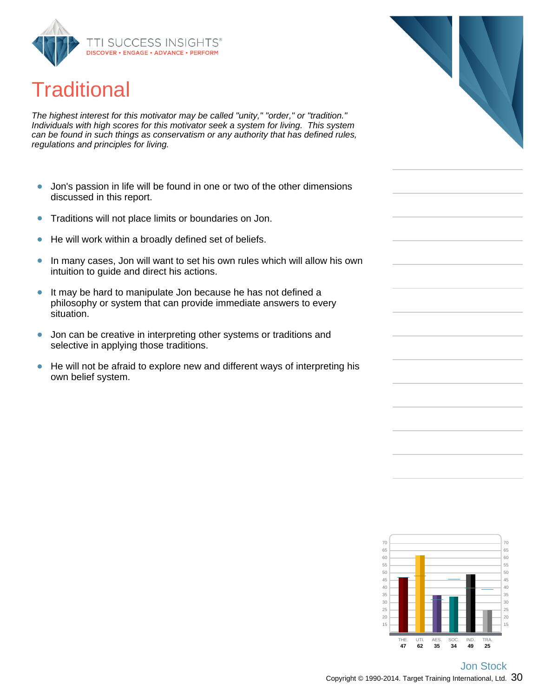

## **Traditional**

The highest interest for this motivator may be called "unity," "order," or "tradition." Individuals with high scores for this motivator seek a system for living. This system can be found in such things as conservatism or any authority that has defined rules, regulations and principles for living.

- Jon's passion in life will be found in one or two of the other dimensions  $\bullet$ discussed in this report.
- Traditions will not place limits or boundaries on Jon.  $\bullet$
- $\bullet$ He will work within a broadly defined set of beliefs.
- In many cases, Jon will want to set his own rules which will allow his own  $\bullet$ intuition to guide and direct his actions.
- $\bullet$ It may be hard to manipulate Jon because he has not defined a philosophy or system that can provide immediate answers to every situation.
- Jon can be creative in interpreting other systems or traditions and  $\bullet$ selective in applying those traditions.
- He will not be afraid to explore new and different ways of interpreting his own belief system.



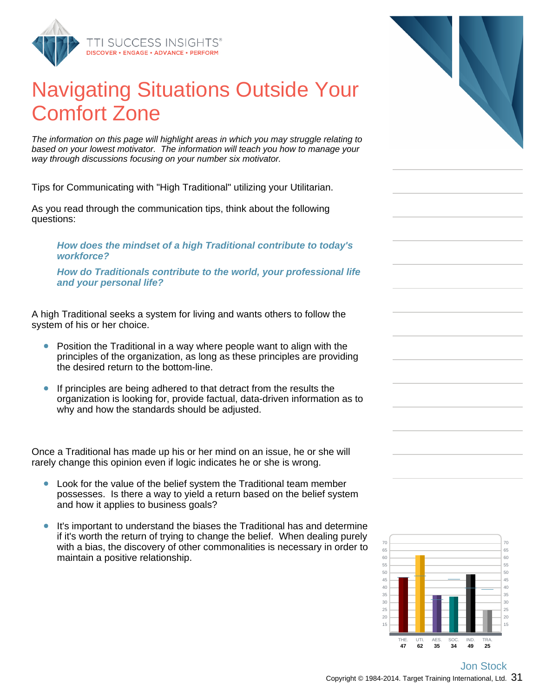

## Navigating Situations Outside Your Comfort Zone

The information on this page will highlight areas in which you may struggle relating to based on your lowest motivator. The information will teach you how to manage your way through discussions focusing on your number six motivator.

Tips for Communicating with "High Traditional" utilizing your Utilitarian.

As you read through the communication tips, think about the following questions:

**How does the mindset of a high Traditional contribute to today's workforce?**

**How do Traditionals contribute to the world, your professional life and your personal life?**

A high Traditional seeks a system for living and wants others to follow the system of his or her choice.

- Position the Traditional in a way where people want to align with the principles of the organization, as long as these principles are providing the desired return to the bottom-line.
- If principles are being adhered to that detract from the results the organization is looking for, provide factual, data-driven information as to why and how the standards should be adjusted.

Once a Traditional has made up his or her mind on an issue, he or she will rarely change this opinion even if logic indicates he or she is wrong.

- Look for the value of the belief system the Traditional team member  $\bullet$ possesses. Is there a way to yield a return based on the belief system and how it applies to business goals?
- It's important to understand the biases the Traditional has and determine if it's worth the return of trying to change the belief. When dealing purely with a bias, the discovery of other commonalities is necessary in order to maintain a positive relationship.



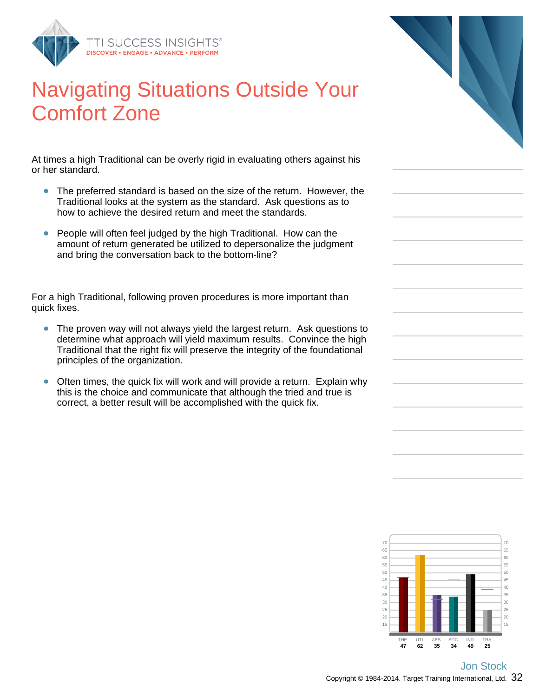

## Navigating Situations Outside Your Comfort Zone

At times a high Traditional can be overly rigid in evaluating others against his or her standard.

- The preferred standard is based on the size of the return. However, the  $\bullet$ Traditional looks at the system as the standard. Ask questions as to how to achieve the desired return and meet the standards.
- $\bullet$ People will often feel judged by the high Traditional. How can the amount of return generated be utilized to depersonalize the judgment and bring the conversation back to the bottom-line?

For a high Traditional, following proven procedures is more important than quick fixes.

- The proven way will not always yield the largest return. Ask questions to determine what approach will yield maximum results. Convince the high Traditional that the right fix will preserve the integrity of the foundational principles of the organization.
- Often times, the quick fix will work and will provide a return. Explain why  $\bullet$ this is the choice and communicate that although the tried and true is correct, a better result will be accomplished with the quick fix.



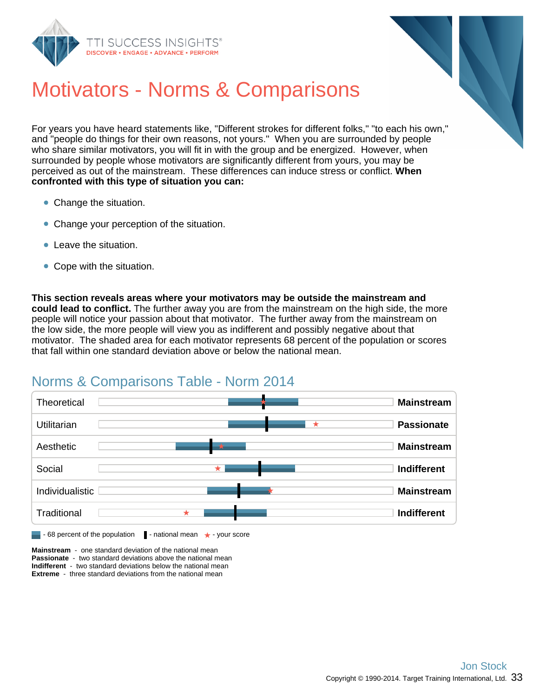



## Motivators - Norms & Comparisons

For years you have heard statements like, "Different strokes for different folks," "to each his own," and "people do things for their own reasons, not yours." When you are surrounded by people who share similar motivators, you will fit in with the group and be energized. However, when surrounded by people whose motivators are significantly different from yours, you may be perceived as out of the mainstream. These differences can induce stress or conflict. **When confronted with this type of situation you can:**

- Change the situation.
- Change your perception of the situation.
- **Company** Leave the situation.
- Cope with the situation.

**This section reveals areas where your motivators may be outside the mainstream and could lead to conflict.** The further away you are from the mainstream on the high side, the more people will notice your passion about that motivator. The further away from the mainstream on the low side, the more people will view you as indifferent and possibly negative about that motivator. The shaded area for each motivator represents 68 percent of the population or scores that fall within one standard deviation above or below the national mean.

#### Norms & Comparisons Table - Norm 2014



**Mainstream** - one standard deviation of the national mean **Passionate** - two standard deviations above the national mean **Indifferent** - two standard deviations below the national mean **Extreme** - three standard deviations from the national mean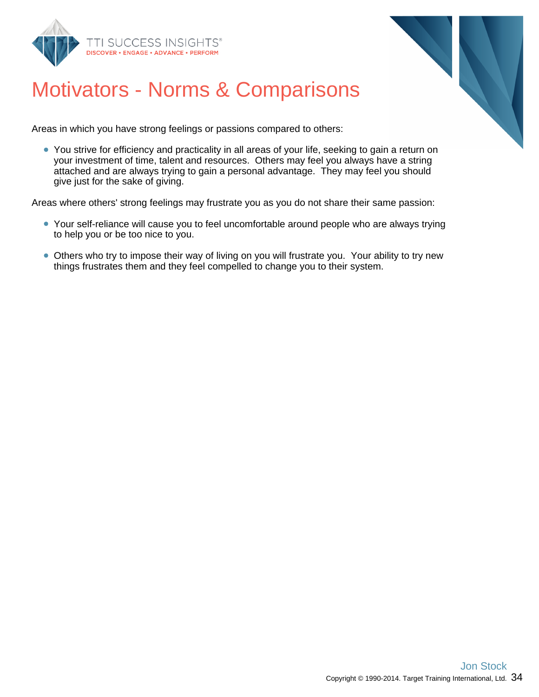



## Motivators - Norms & Comparisons

Areas in which you have strong feelings or passions compared to others:

• You strive for efficiency and practicality in all areas of your life, seeking to gain a return on your investment of time, talent and resources. Others may feel you always have a string attached and are always trying to gain a personal advantage. They may feel you should give just for the sake of giving.

Areas where others' strong feelings may frustrate you as you do not share their same passion:

- Your self-reliance will cause you to feel uncomfortable around people who are always trying to help you or be too nice to you.
- Others who try to impose their way of living on you will frustrate you. Your ability to try new things frustrates them and they feel compelled to change you to their system.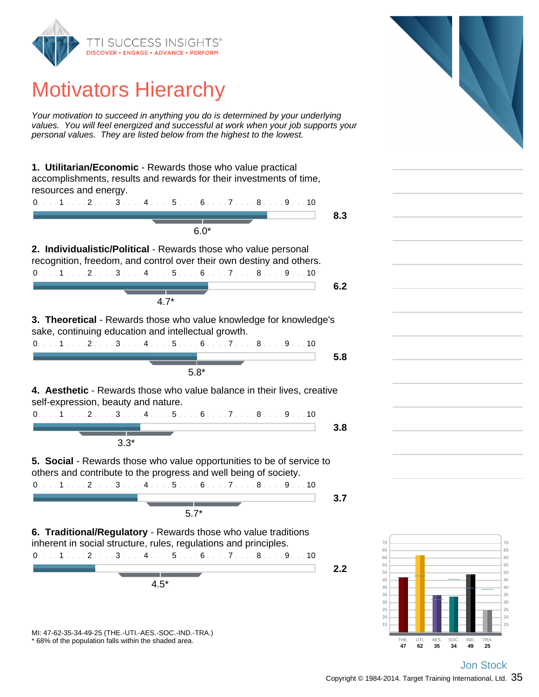

## Motivators Hierarchy

Your motivation to succeed in anything you do is determined by your underlying values. You will feel energized and successful at work when your job supports your personal values. They are listed below from the highest to the lowest.

**1. Utilitarian/Economic** - Rewards those who value practical accomplishments, results and rewards for their investments of time, resources and energy. 0. . . . 1 . . . . 2 . . . . 3 . . . . 4 . . . . 5 . . . . 6 . . . . 7 . . . . 8 . . . . 9 . . . 10



**4. Aesthetic** - Rewards those who value balance in their lives, creative self-expression, beauty and nature.

3.3\*

**5. Social** - Rewards those who value opportunities to be of service to others and contribute to the progress and well being of society.

0. . . . 1 . . . . 2 . . . . 3 . . . . 4 . . . . 5 . . . . 6 . . . . 7 . . . . 8 . . . . 9 . . . 10 5.7\*

**3.7**

**2.2**

**6. Traditional/Regulatory** - Rewards those who value traditions inherent in social structure, rules, regulations and principles. 0. . . . 1 . . . . 2 . . . . 3 . . . . 4 . . . . 5 . . . . 6 . . . . 7 . . . . 8 . . . . 9 . . . 10

4.5\*

\* 68% of the population falls within the shaded area. MI: 47-62-35-34-49-25 (THE.-UTI.-AES.-SOC.-IND.-TRA.)

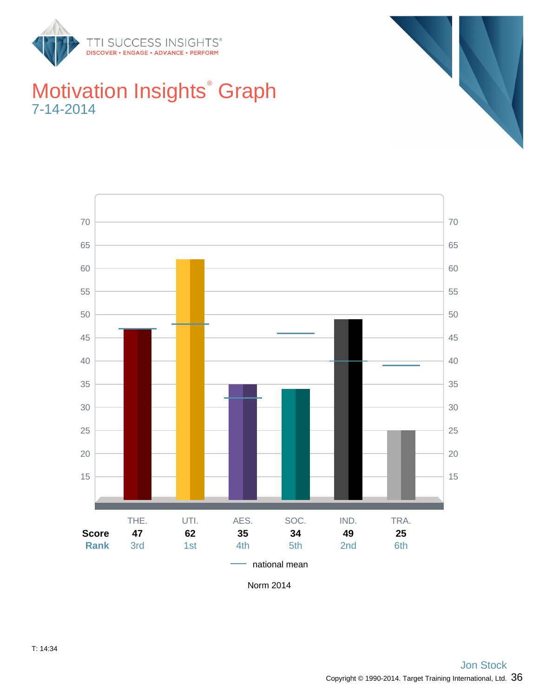

## Motivation Insights<sup>®</sup> Graph 7-14-2014





Norm 2014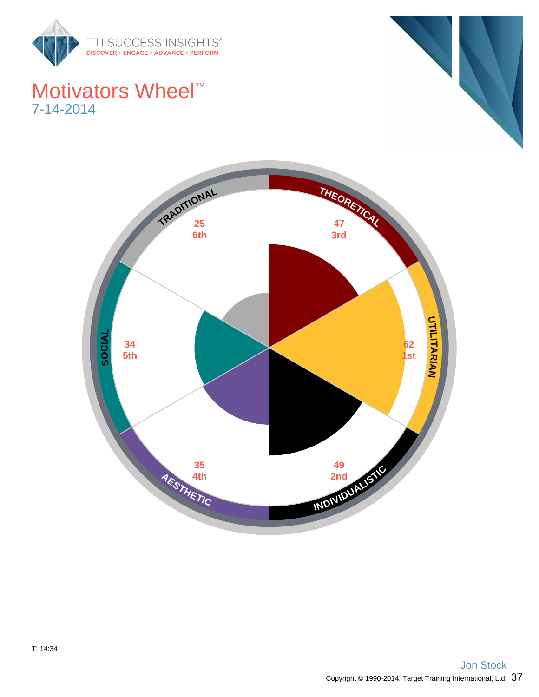

## Motivators Wheel<sup>™</sup> 7-14-2014



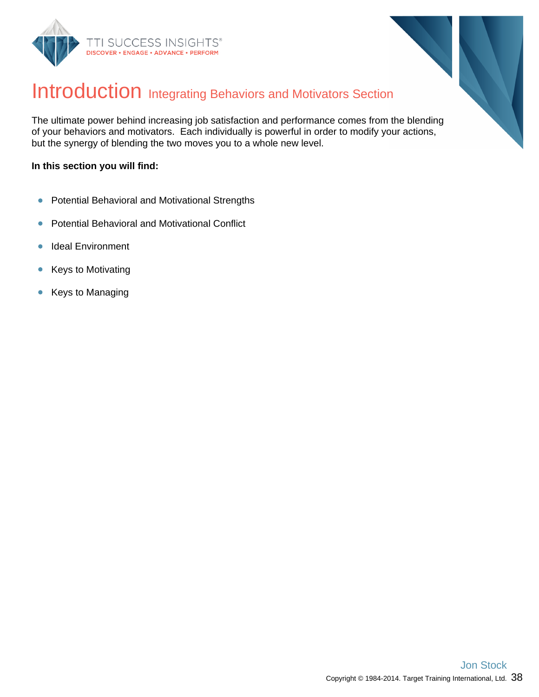



## Introduction Integrating Behaviors and Motivators Section

The ultimate power behind increasing job satisfaction and performance comes from the blending of your behaviors and motivators. Each individually is powerful in order to modify your actions, but the synergy of blending the two moves you to a whole new level.

#### **In this section you will find:**

- $\bullet$ Potential Behavioral and Motivational Strengths
- Potential Behavioral and Motivational Conflict  $\bullet$
- Ideal Environment  $\bullet$
- $\bullet$ Keys to Motivating
- Keys to Managing  $\bullet$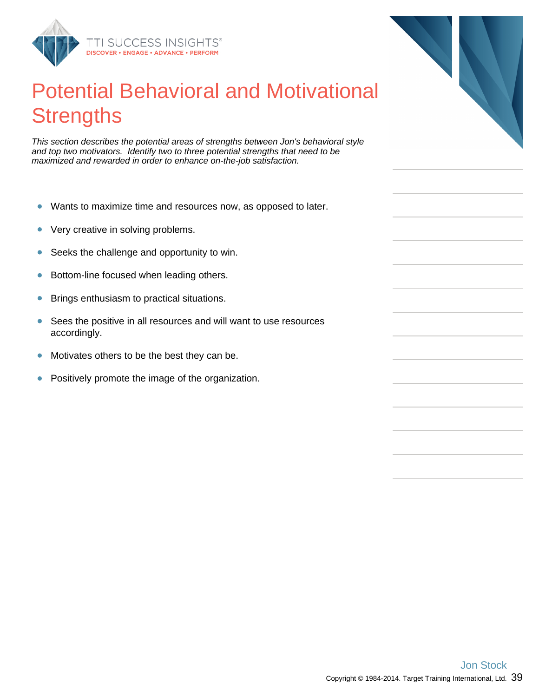

## Potential Behavioral and Motivational **Strengths**

This section describes the potential areas of strengths between Jon's behavioral style and top two motivators. Identify two to three potential strengths that need to be maximized and rewarded in order to enhance on-the-job satisfaction.

- $\bullet$ Wants to maximize time and resources now, as opposed to later.
- $\bullet$ Very creative in solving problems.
- Seeks the challenge and opportunity to win.  $\bullet$
- Bottom-line focused when leading others.  $\bullet$
- Brings enthusiasm to practical situations.  $\bullet$
- Sees the positive in all resources and will want to use resources  $\bullet$ accordingly.
- $\bullet$ Motivates others to be the best they can be.
- $\bullet$ Positively promote the image of the organization.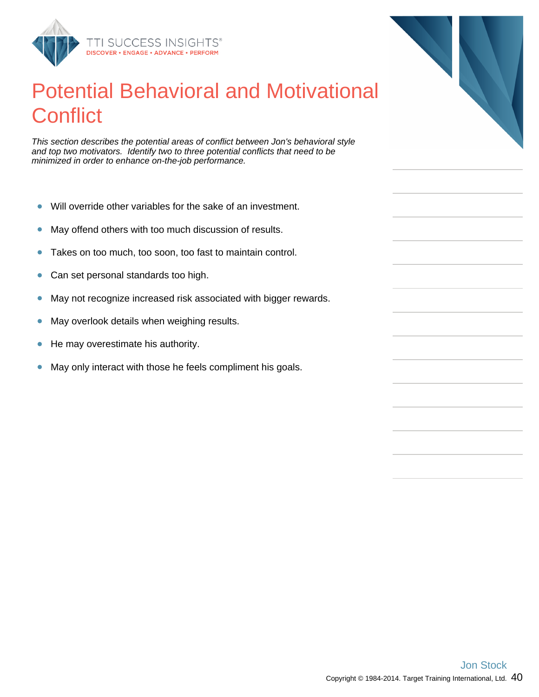

## Potential Behavioral and Motivational **Conflict**

This section describes the potential areas of conflict between Jon's behavioral style and top two motivators. Identify two to three potential conflicts that need to be minimized in order to enhance on-the-job performance.

- $\bullet$ Will override other variables for the sake of an investment.
- May offend others with too much discussion of results.  $\bullet$
- Takes on too much, too soon, too fast to maintain control.  $\bullet$
- Can set personal standards too high.  $\bullet$
- May not recognize increased risk associated with bigger rewards.  $\bullet$
- May overlook details when weighing results.  $\bullet$
- He may overestimate his authority.  $\bullet$
- May only interact with those he feels compliment his goals.  $\bullet$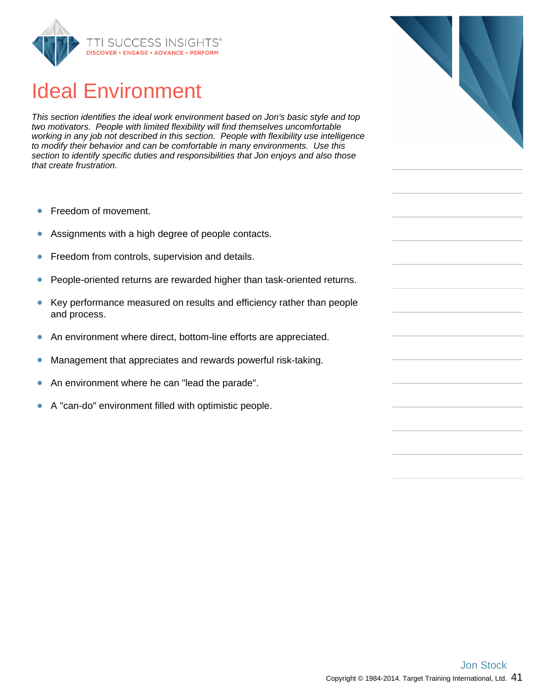

## Ideal Environment

This section identifies the ideal work environment based on Jon's basic style and top two motivators. People with limited flexibility will find themselves uncomfortable working in any job not described in this section. People with flexibility use intelligence to modify their behavior and can be comfortable in many environments. Use this section to identify specific duties and responsibilities that Jon enjoys and also those that create frustration.

- Freedom of movement.  $\bullet$
- Assignments with a high degree of people contacts.  $\bullet$
- Freedom from controls, supervision and details.  $\bullet$
- People-oriented returns are rewarded higher than task-oriented returns.  $\bullet$
- $\bullet$ Key performance measured on results and efficiency rather than people and process.
- An environment where direct, bottom-line efforts are appreciated.  $\bullet$
- Management that appreciates and rewards powerful risk-taking.  $\bullet$
- $\bullet$ An environment where he can "lead the parade".
- A "can-do" environment filled with optimistic people.  $\bullet$



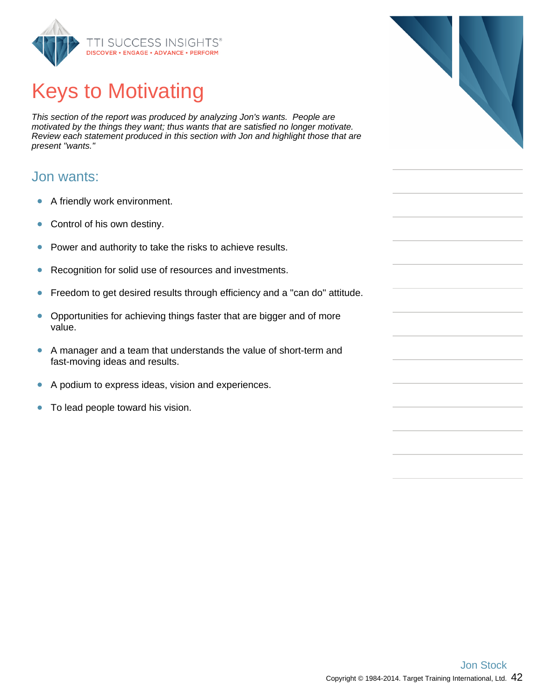

# Keys to Motivating

This section of the report was produced by analyzing Jon's wants. People are motivated by the things they want; thus wants that are satisfied no longer motivate. Review each statement produced in this section with Jon and highlight those that are present "wants."

#### Jon wants:

- $\bullet$ A friendly work environment.
- $\bullet$ Control of his own destiny.
- Power and authority to take the risks to achieve results.  $\bullet$
- $\bullet$ Recognition for solid use of resources and investments.
- Freedom to get desired results through efficiency and a "can do" attitude.  $\bullet$
- Opportunities for achieving things faster that are bigger and of more  $\bullet$ value.
- A manager and a team that understands the value of short-term and  $\bullet$ fast-moving ideas and results.
- $\bullet$ A podium to express ideas, vision and experiences.
- To lead people toward his vision.  $\bullet$

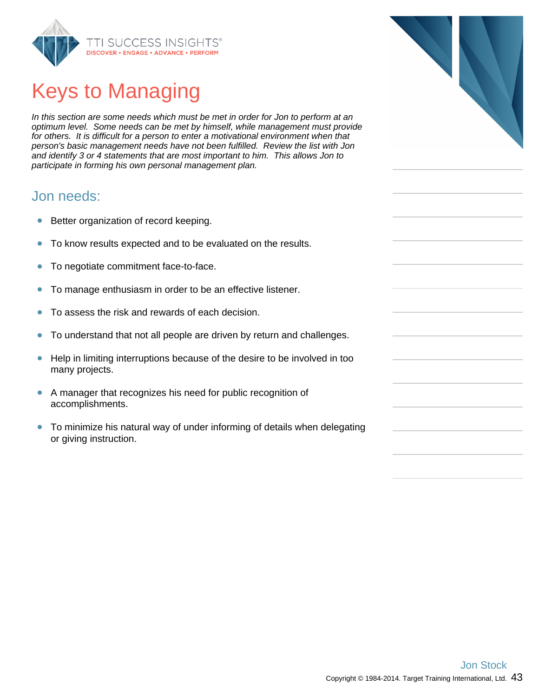

# Keys to Managing

In this section are some needs which must be met in order for Jon to perform at an optimum level. Some needs can be met by himself, while management must provide for others. It is difficult for a person to enter a motivational environment when that person's basic management needs have not been fulfilled. Review the list with Jon and identify 3 or 4 statements that are most important to him. This allows Jon to participate in forming his own personal management plan.

#### Jon needs:

- Better organization of record keeping.  $\bullet$
- To know results expected and to be evaluated on the results.  $\bullet$
- To negotiate commitment face-to-face.  $\bullet$
- To manage enthusiasm in order to be an effective listener.  $\bullet$
- To assess the risk and rewards of each decision.  $\bullet$
- To understand that not all people are driven by return and challenges.  $\bullet$
- Help in limiting interruptions because of the desire to be involved in too  $\bullet$ many projects.
- A manager that recognizes his need for public recognition of accomplishments.
- To minimize his natural way of under informing of details when delegating  $\bullet$ or giving instruction.

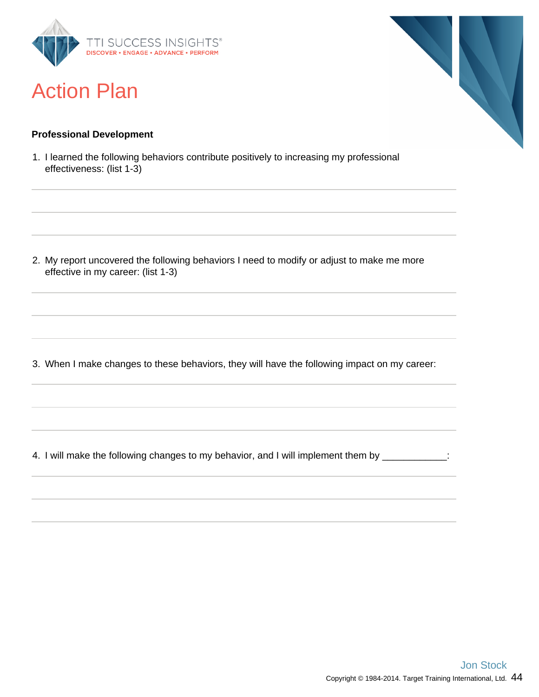

## Action Plan

# 

#### **Professional Development**

1. I learned the following behaviors contribute positively to increasing my professional effectiveness: (list 1-3)

2. My report uncovered the following behaviors I need to modify or adjust to make me more effective in my career: (list 1-3)

3. When I make changes to these behaviors, they will have the following impact on my career:

4. I will make the following changes to my behavior, and I will implement them by \_\_\_\_\_\_\_\_\_\_\_\_: